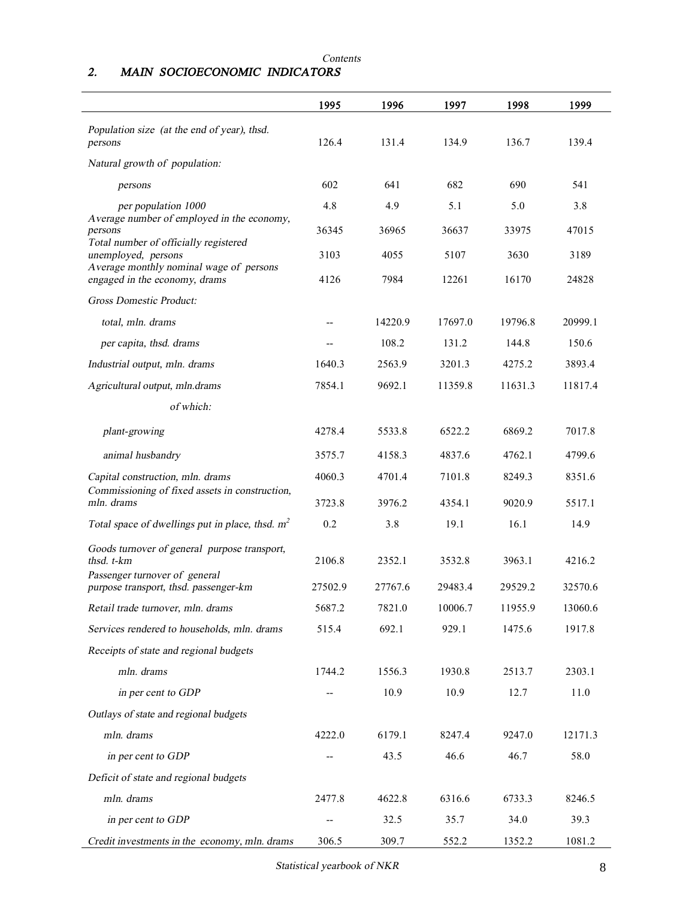## *Contents 2. MAIN SOCIOECONOMIC INDICATORS*

|                                                                        | 1995    | 1996    | 1997    | 1998    | 1999    |
|------------------------------------------------------------------------|---------|---------|---------|---------|---------|
| Population size (at the end of year), thsd.<br>persons                 | 126.4   | 131.4   | 134.9   | 136.7   | 139.4   |
| Natural growth of population:                                          |         |         |         |         |         |
|                                                                        |         |         |         |         |         |
| persons                                                                | 602     | 641     | 682     | 690     | 541     |
| per population 1000<br>Average number of employed in the economy,      | 4.8     | 4.9     | 5.1     | 5.0     | 3.8     |
| persons<br>Total number of officially registered                       | 36345   | 36965   | 36637   | 33975   | 47015   |
| unemployed, persons<br>Average monthly nominal wage of persons         | 3103    | 4055    | 5107    | 3630    | 3189    |
| engaged in the economy, drams                                          | 4126    | 7984    | 12261   | 16170   | 24828   |
| <b>Gross Domestic Product:</b>                                         |         |         |         |         |         |
| total, mln. drams                                                      |         | 14220.9 | 17697.0 | 19796.8 | 20999.1 |
| per capita, thsd. drams                                                |         | 108.2   | 131.2   | 144.8   | 150.6   |
| Industrial output, mln. drams                                          | 1640.3  | 2563.9  | 3201.3  | 4275.2  | 3893.4  |
| Agricultural output, mln.drams                                         | 7854.1  | 9692.1  | 11359.8 | 11631.3 | 11817.4 |
| of which:                                                              |         |         |         |         |         |
| plant-growing                                                          | 4278.4  | 5533.8  | 6522.2  | 6869.2  | 7017.8  |
| animal husbandry                                                       | 3575.7  | 4158.3  | 4837.6  | 4762.1  | 4799.6  |
| Capital construction, mln. drams                                       | 4060.3  | 4701.4  | 7101.8  | 8249.3  | 8351.6  |
| Commissioning of fixed assets in construction,<br>mln. drams           | 3723.8  | 3976.2  | 4354.1  | 9020.9  | 5517.1  |
| Total space of dwellings put in place, thsd. $m^2$                     | 0.2     | 3.8     | 19.1    | 16.1    | 14.9    |
| Goods turnover of general purpose transport,<br>thsd. t-km             | 2106.8  | 2352.1  | 3532.8  | 3963.1  | 4216.2  |
| Passenger turnover of general<br>purpose transport, thsd. passenger-km | 27502.9 | 27767.6 | 29483.4 | 29529.2 | 32570.6 |
| Retail trade turnover, mln. drams                                      | 5687.2  | 7821.0  | 10006.7 | 11955.9 | 13060.6 |
| Services rendered to households, mln. drams                            | 515.4   | 692.1   | 929.1   | 1475.6  | 1917.8  |
| Receipts of state and regional budgets                                 |         |         |         |         |         |
| mln. drams                                                             | 1744.2  | 1556.3  | 1930.8  | 2513.7  | 2303.1  |
| in per cent to GDP                                                     |         | 10.9    | 10.9    | 12.7    | 11.0    |
| Outlays of state and regional budgets                                  |         |         |         |         |         |
| mln. drams                                                             | 4222.0  | 6179.1  | 8247.4  | 9247.0  | 12171.3 |
| in per cent to GDP                                                     |         | 43.5    | 46.6    | 46.7    | 58.0    |
| Deficit of state and regional budgets                                  |         |         |         |         |         |
| mln. drams                                                             | 2477.8  | 4622.8  | 6316.6  | 6733.3  | 8246.5  |
| in per cent to GDP                                                     | --      | 32.5    | 35.7    | 34.0    | 39.3    |
| Credit investments in the economy, mln. drams                          | 306.5   | 309.7   | 552.2   | 1352.2  | 1081.2  |